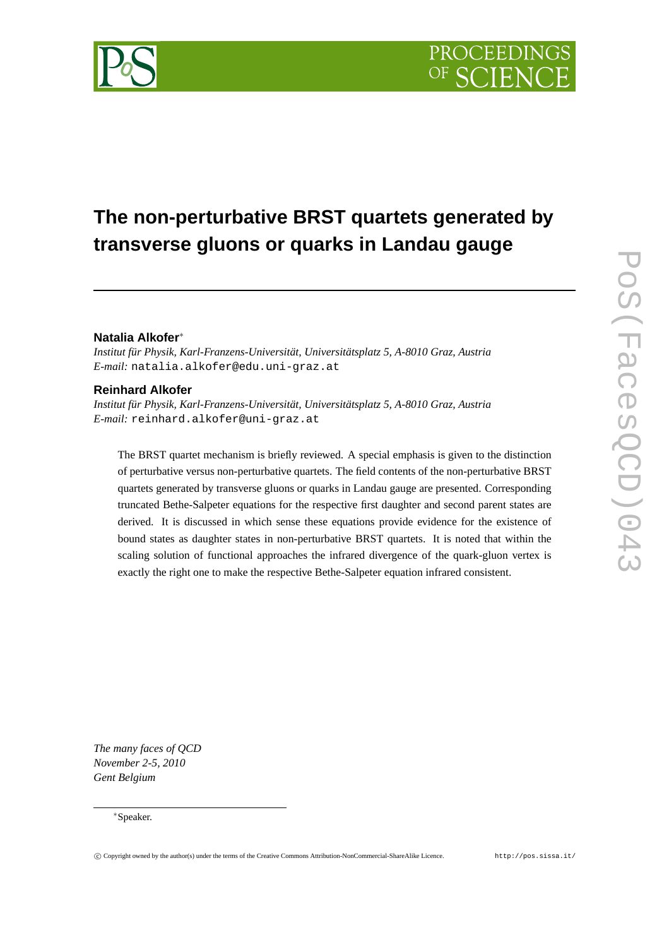# **The non-perturbative BRST quartets generated by transverse gluons or quarks in Landau gauge**

# **Natalia Alkofer**<sup>∗</sup>

*Institut für Physik, Karl-Franzens-Universität, Universitätsplatz 5, A-8010 Graz, Austria E-mail:* natalia.alkofer@edu.uni-graz.at

# **Reinhard Alkofer**

*Institut für Physik, Karl-Franzens-Universität, Universitätsplatz 5, A-8010 Graz, Austria E-mail:* reinhard.alkofer@uni-graz.at

The BRST quartet mechanism is briefly reviewed. A special emphasis is given to the distinction of perturbative versus non-perturbative quartets. The field contents of the non-perturbative BRST quartets generated by transverse gluons or quarks in Landau gauge are presented. Corresponding truncated Bethe-Salpeter equations for the respective first daughter and second parent states are derived. It is discussed in which sense these equations provide evidence for the existence of bound states as daughter states in non-perturbative BRST quartets. It is noted that within the scaling solution of functional approaches the infrared divergence of the quark-gluon vertex is exactly the right one to make the respective Bethe-Salpeter equation infrared consistent.

*The many faces of QCD November 2-5, 2010 Gent Belgium*

<sup>∗</sup>Speaker.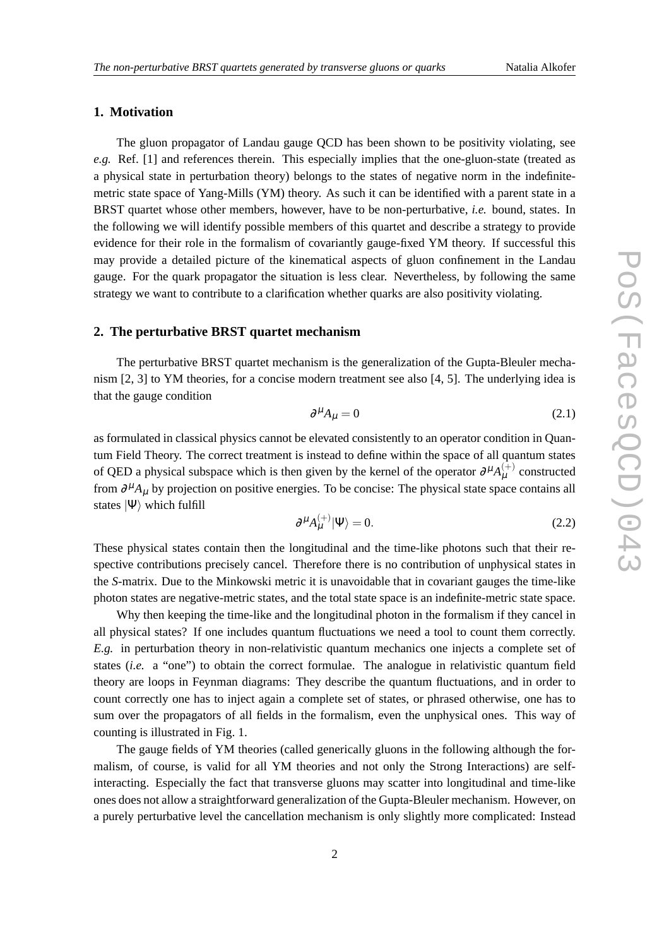### **1. Motivation**

The gluon propagator of Landau gauge QCD has been shown to be positivity violating, see *e.g.* Ref. [1] and references therein. This especially implies that the one-gluon-state (treated as a physical state in perturbation theory) belongs to the states of negative norm in the indefinitemetric state space of Yang-Mills (YM) theory. As such it can be identified with a parent state in a BRST quartet whose other members, however, have to be non-perturbative, *i.e.* bound, states. In the following we will identify possible members of this quartet and describe a strategy to provide evidence for their role in the formalism of covariantly gauge-fixed YM theory. If successful this may provide a detailed picture of the kinematical aspects of gluon confinement in the Landau gauge. For the quark propagator the situation is less clear. Nevertheless, by following the same strategy we want to contribute to a clarification whether quarks are also positivity violating.

# **2. The perturbative BRST quartet mechanism**

The perturbative BRST quartet mechanism is the generalization of the Gupta-Bleuler mechanism [2, 3] to YM theories, for a concise modern treatment see also [4, 5]. The underlying idea is that the gauge condition

$$
\partial^{\mu} A_{\mu} = 0 \tag{2.1}
$$

as formulated in classical physics cannot be elevated consistently to an operator condition in Quantum Field Theory. The correct treatment is instead to define within the space of all quantum states of QED a physical subspace which is then given by the kernel of the operator  $\partial^{\mu}A_{\mu}^{(+)}$  constructed from  $\partial^{\mu}A_{\mu}$  by projection on positive energies. To be concise: The physical state space contains all states  $|\Psi\rangle$  which fulfill

$$
\partial^{\mu} A_{\mu}^{(+)} |\Psi\rangle = 0. \tag{2.2}
$$

These physical states contain then the longitudinal and the time-like photons such that their respective contributions precisely cancel. Therefore there is no contribution of unphysical states in the *S*-matrix. Due to the Minkowski metric it is unavoidable that in covariant gauges the time-like photon states are negative-metric states, and the total state space is an indefinite-metric state space.

Why then keeping the time-like and the longitudinal photon in the formalism if they cancel in all physical states? If one includes quantum fluctuations we need a tool to count them correctly. *E.g.* in perturbation theory in non-relativistic quantum mechanics one injects a complete set of states (*i.e.* a "one") to obtain the correct formulae. The analogue in relativistic quantum field theory are loops in Feynman diagrams: They describe the quantum fluctuations, and in order to count correctly one has to inject again a complete set of states, or phrased otherwise, one has to sum over the propagators of all fields in the formalism, even the unphysical ones. This way of counting is illustrated in Fig. 1.

The gauge fields of YM theories (called generically gluons in the following although the formalism, of course, is valid for all YM theories and not only the Strong Interactions) are selfinteracting. Especially the fact that transverse gluons may scatter into longitudinal and time-like ones does not allow a straightforward generalization of the Gupta-Bleuler mechanism. However, on a purely perturbative level the cancellation mechanism is only slightly more complicated: Instead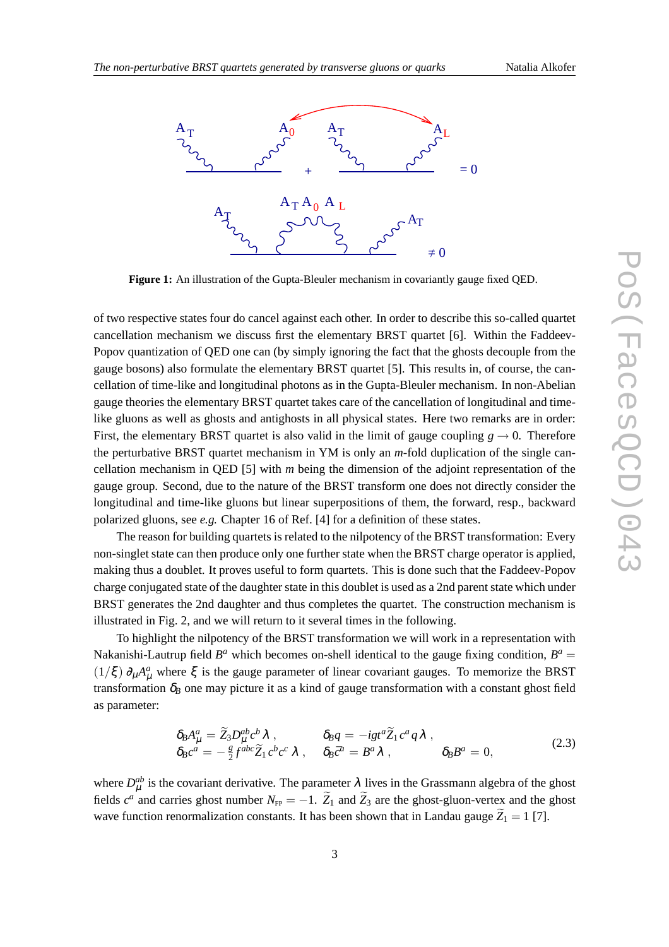

**Figure 1:** An illustration of the Gupta-Bleuler mechanism in covariantly gauge fixed QED.

of two respective states four do cancel against each other. In order to describe this so-called quartet cancellation mechanism we discuss first the elementary BRST quartet [6]. Within the Faddeev-Popov quantization of QED one can (by simply ignoring the fact that the ghosts decouple from the gauge bosons) also formulate the elementary BRST quartet [5]. This results in, of course, the cancellation of time-like and longitudinal photons as in the Gupta-Bleuler mechanism. In non-Abelian gauge theories the elementary BRST quartet takes care of the cancellation of longitudinal and timelike gluons as well as ghosts and antighosts in all physical states. Here two remarks are in order: First, the elementary BRST quartet is also valid in the limit of gauge coupling  $g \rightarrow 0$ . Therefore the perturbative BRST quartet mechanism in YM is only an *m*-fold duplication of the single cancellation mechanism in QED [5] with *m* being the dimension of the adjoint representation of the gauge group. Second, due to the nature of the BRST transform one does not directly consider the longitudinal and time-like gluons but linear superpositions of them, the forward, resp., backward polarized gluons, see *e.g.* Chapter 16 of Ref. [4] for a definition of these states.

The reason for building quartets is related to the nilpotency of the BRST transformation: Every non-singlet state can then produce only one further state when the BRST charge operator is applied, making thus a doublet. It proves useful to form quartets. This is done such that the Faddeev-Popov charge conjugated state of the daughter state in this doublet is used as a 2nd parent state which under BRST generates the 2nd daughter and thus completes the quartet. The construction mechanism is illustrated in Fig. 2, and we will return to it several times in the following.

To highlight the nilpotency of the BRST transformation we will work in a representation with Nakanishi-Lautrup field  $B^a$  which becomes on-shell identical to the gauge fixing condition,  $B^a$  =  $(1/\xi) \partial_\mu A_\mu^a$  where  $\xi$  is the gauge parameter of linear covariant gauges. To memorize the BRST transformation  $\delta_B$  one may picture it as a kind of gauge transformation with a constant ghost field as parameter:

$$
\delta_B A^a_\mu = \widetilde{Z}_3 D^{ab}_\mu c^b \lambda , \qquad \delta_B q = -ig t^a \widetilde{Z}_1 c^a q \lambda , \delta_B c^a = -\frac{g}{2} f^{abc} \widetilde{Z}_1 c^b c^c \lambda , \qquad \delta_B \bar{c}^a = B^a \lambda , \qquad \delta_B B^a = 0,
$$
\n(2.3)

where  $D_{\mu}^{ab}$  is the covariant derivative. The parameter  $\lambda$  lives in the Grassmann algebra of the ghost fields  $c^a$  and carries ghost number  $N_{\text{FP}} = -1$ .  $\widetilde{Z}_1$  and  $\widetilde{Z}_3$  are the ghost-gluon-vertex and the ghost wave function renormalization constants. It has been shown that in Landau gauge  $\tilde{Z}_1 = 1$  [7].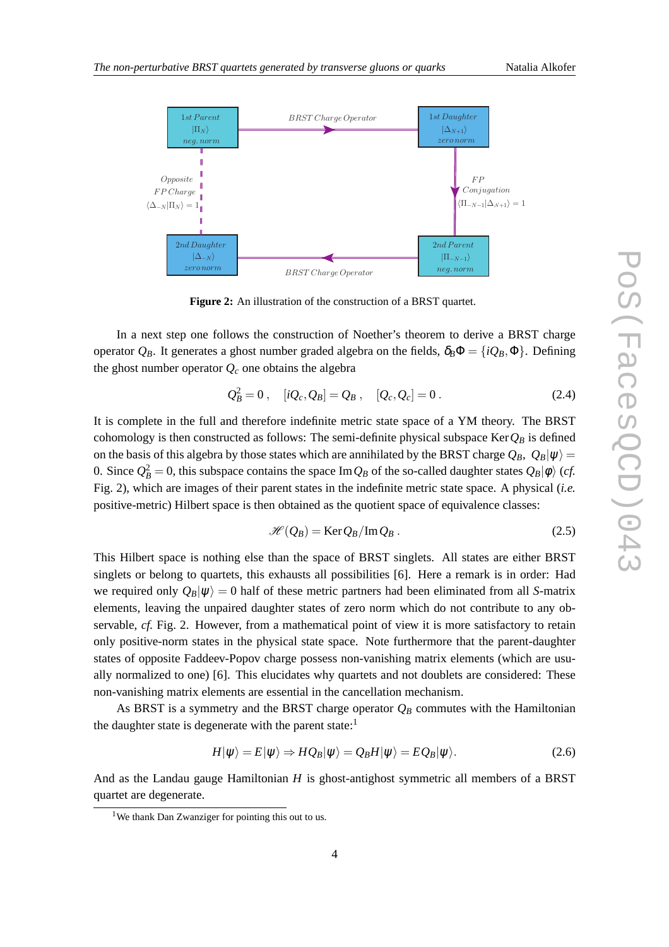

**Figure 2:** An illustration of the construction of a BRST quartet.

In a next step one follows the construction of Noether's theorem to derive a BRST charge operator  $Q_B$ . It generates a ghost number graded algebra on the fields,  $\delta_B \Phi = \{iQ_B, \Phi\}$ . Defining the ghost number operator  $Q_c$  one obtains the algebra

$$
Q_B^2 = 0
$$
,  $[iQ_c, Q_B] = Q_B$ ,  $[Q_c, Q_c] = 0$ . (2.4)

It is complete in the full and therefore indefinite metric state space of a YM theory. The BRST cohomology is then constructed as follows: The semi-definite physical subspace Ker $Q_B$  is defined on the basis of this algebra by those states which are annihilated by the BRST charge  $Q_B$ ,  $Q_B|\psi\rangle =$ 0. Since  $Q_B^2 = 0$ , this subspace contains the space Im  $Q_B$  of the so-called daughter states  $Q_B |\phi\rangle$  (*cf.* Fig. 2), which are images of their parent states in the indefinite metric state space. A physical (*i.e.* positive-metric) Hilbert space is then obtained as the quotient space of equivalence classes:

$$
\mathcal{H}(Q_B) = \text{Ker } Q_B / \text{Im } Q_B . \tag{2.5}
$$

This Hilbert space is nothing else than the space of BRST singlets. All states are either BRST singlets or belong to quartets, this exhausts all possibilities [6]. Here a remark is in order: Had we required only  $Q_B|\psi\rangle = 0$  half of these metric partners had been eliminated from all *S*-matrix elements, leaving the unpaired daughter states of zero norm which do not contribute to any observable, *cf.* Fig. 2. However, from a mathematical point of view it is more satisfactory to retain only positive-norm states in the physical state space. Note furthermore that the parent-daughter states of opposite Faddeev-Popov charge possess non-vanishing matrix elements (which are usually normalized to one) [6]. This elucidates why quartets and not doublets are considered: These non-vanishing matrix elements are essential in the cancellation mechanism.

As BRST is a symmetry and the BRST charge operator  $Q_B$  commutes with the Hamiltonian the daughter state is degenerate with the parent state: $<sup>1</sup>$ </sup>

$$
H|\psi\rangle = E|\psi\rangle \Rightarrow HQ_B|\psi\rangle = Q_B H|\psi\rangle = EQ_B|\psi\rangle. \tag{2.6}
$$

And as the Landau gauge Hamiltonian *H* is ghost-antighost symmetric all members of a BRST quartet are degenerate.

<sup>&</sup>lt;sup>1</sup>We thank Dan Zwanziger for pointing this out to us.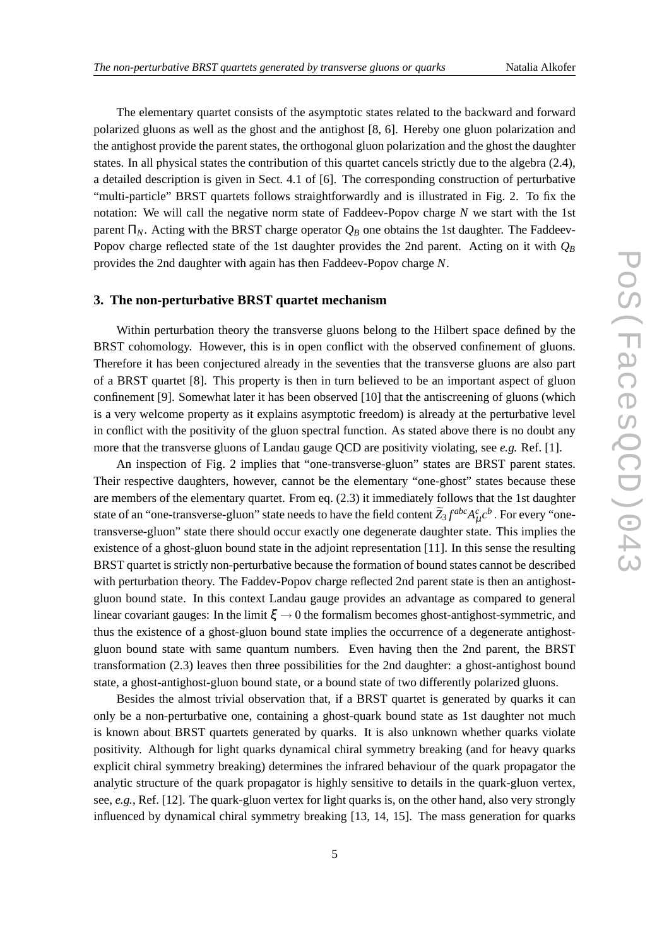The elementary quartet consists of the asymptotic states related to the backward and forward polarized gluons as well as the ghost and the antighost [8, 6]. Hereby one gluon polarization and the antighost provide the parent states, the orthogonal gluon polarization and the ghost the daughter states. In all physical states the contribution of this quartet cancels strictly due to the algebra (2.4), a detailed description is given in Sect. 4.1 of [6]. The corresponding construction of perturbative "multi-particle" BRST quartets follows straightforwardly and is illustrated in Fig. 2. To fix the notation: We will call the negative norm state of Faddeev-Popov charge *N* we start with the 1st parent  $\Pi_N$ . Acting with the BRST charge operator  $Q_B$  one obtains the 1st daughter. The Faddeev-Popov charge reflected state of the 1st daughter provides the 2nd parent. Acting on it with  $Q_B$ provides the 2nd daughter with again has then Faddeev-Popov charge *N*.

### **3. The non-perturbative BRST quartet mechanism**

Within perturbation theory the transverse gluons belong to the Hilbert space defined by the BRST cohomology. However, this is in open conflict with the observed confinement of gluons. Therefore it has been conjectured already in the seventies that the transverse gluons are also part of a BRST quartet [8]. This property is then in turn believed to be an important aspect of gluon confinement [9]. Somewhat later it has been observed [10] that the antiscreening of gluons (which is a very welcome property as it explains asymptotic freedom) is already at the perturbative level in conflict with the positivity of the gluon spectral function. As stated above there is no doubt any more that the transverse gluons of Landau gauge QCD are positivity violating, see *e.g.* Ref. [1].

An inspection of Fig. 2 implies that "one-transverse-gluon" states are BRST parent states. Their respective daughters, however, cannot be the elementary "one-ghost" states because these are members of the elementary quartet. From eq. (2.3) it immediately follows that the 1st daughter state of an "one-transverse-gluon" state needs to have the field content  $\widetilde Z_3 f^{abc}A^c_\mu c^b$  . For every "onetransverse-gluon" state there should occur exactly one degenerate daughter state. This implies the existence of a ghost-gluon bound state in the adjoint representation [11]. In this sense the resulting BRST quartet is strictly non-perturbative because the formation of bound states cannot be described with perturbation theory. The Faddev-Popov charge reflected 2nd parent state is then an antighostgluon bound state. In this context Landau gauge provides an advantage as compared to general linear covariant gauges: In the limit  $\xi \to 0$  the formalism becomes ghost-antighost-symmetric, and thus the existence of a ghost-gluon bound state implies the occurrence of a degenerate antighostgluon bound state with same quantum numbers. Even having then the 2nd parent, the BRST transformation (2.3) leaves then three possibilities for the 2nd daughter: a ghost-antighost bound state, a ghost-antighost-gluon bound state, or a bound state of two differently polarized gluons.

Besides the almost trivial observation that, if a BRST quartet is generated by quarks it can only be a non-perturbative one, containing a ghost-quark bound state as 1st daughter not much is known about BRST quartets generated by quarks. It is also unknown whether quarks violate positivity. Although for light quarks dynamical chiral symmetry breaking (and for heavy quarks explicit chiral symmetry breaking) determines the infrared behaviour of the quark propagator the analytic structure of the quark propagator is highly sensitive to details in the quark-gluon vertex, see, *e.g.*, Ref. [12]. The quark-gluon vertex for light quarks is, on the other hand, also very strongly influenced by dynamical chiral symmetry breaking [13, 14, 15]. The mass generation for quarks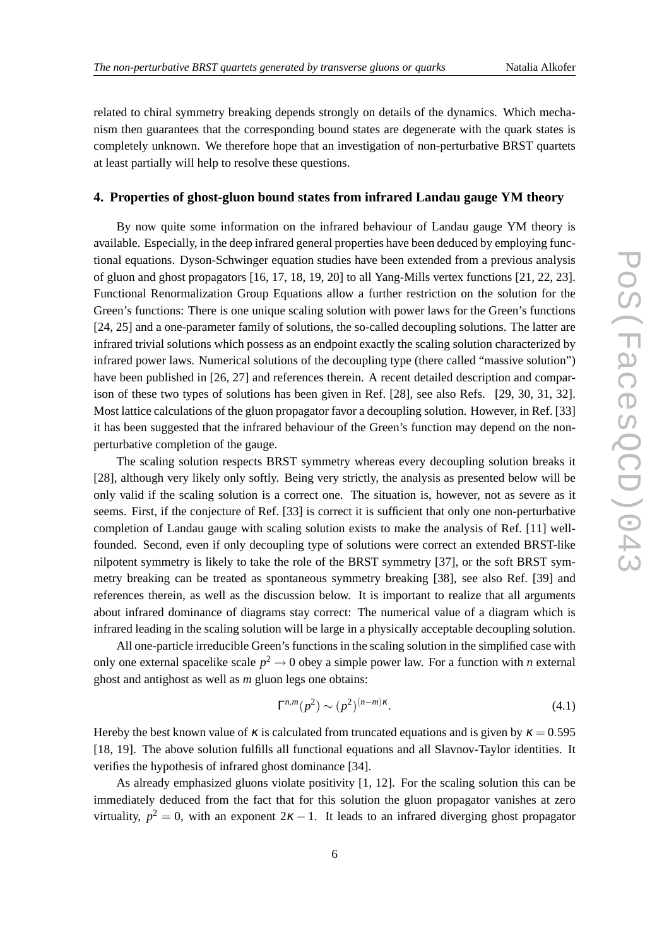related to chiral symmetry breaking depends strongly on details of the dynamics. Which mechanism then guarantees that the corresponding bound states are degenerate with the quark states is completely unknown. We therefore hope that an investigation of non-perturbative BRST quartets at least partially will help to resolve these questions.

### **4. Properties of ghost-gluon bound states from infrared Landau gauge YM theory**

By now quite some information on the infrared behaviour of Landau gauge YM theory is available. Especially, in the deep infrared general properties have been deduced by employing functional equations. Dyson-Schwinger equation studies have been extended from a previous analysis of gluon and ghost propagators [16, 17, 18, 19, 20] to all Yang-Mills vertex functions [21, 22, 23]. Functional Renormalization Group Equations allow a further restriction on the solution for the Green's functions: There is one unique scaling solution with power laws for the Green's functions [24, 25] and a one-parameter family of solutions, the so-called decoupling solutions. The latter are infrared trivial solutions which possess as an endpoint exactly the scaling solution characterized by infrared power laws. Numerical solutions of the decoupling type (there called "massive solution") have been published in [26, 27] and references therein. A recent detailed description and comparison of these two types of solutions has been given in Ref. [28], see also Refs. [29, 30, 31, 32]. Most lattice calculations of the gluon propagator favor a decoupling solution. However, in Ref. [33] it has been suggested that the infrared behaviour of the Green's function may depend on the nonperturbative completion of the gauge.

The scaling solution respects BRST symmetry whereas every decoupling solution breaks it [28], although very likely only softly. Being very strictly, the analysis as presented below will be only valid if the scaling solution is a correct one. The situation is, however, not as severe as it seems. First, if the conjecture of Ref. [33] is correct it is sufficient that only one non-perturbative completion of Landau gauge with scaling solution exists to make the analysis of Ref. [11] wellfounded. Second, even if only decoupling type of solutions were correct an extended BRST-like nilpotent symmetry is likely to take the role of the BRST symmetry [37], or the soft BRST symmetry breaking can be treated as spontaneous symmetry breaking [38], see also Ref. [39] and references therein, as well as the discussion below. It is important to realize that all arguments about infrared dominance of diagrams stay correct: The numerical value of a diagram which is infrared leading in the scaling solution will be large in a physically acceptable decoupling solution.

All one-particle irreducible Green's functions in the scaling solution in the simplified case with only one external spacelike scale  $p^2 \to 0$  obey a simple power law. For a function with *n* external ghost and antighost as well as *m* gluon legs one obtains:

$$
\Gamma^{n,m}(p^2) \sim (p^2)^{(n-m)\kappa}.\tag{4.1}
$$

Hereby the best known value of  $\kappa$  is calculated from truncated equations and is given by  $\kappa = 0.595$ [18, 19]. The above solution fulfills all functional equations and all Slavnov-Taylor identities. It verifies the hypothesis of infrared ghost dominance [34].

As already emphasized gluons violate positivity [1, 12]. For the scaling solution this can be immediately deduced from the fact that for this solution the gluon propagator vanishes at zero virtuality,  $p^2 = 0$ , with an exponent  $2\kappa - 1$ . It leads to an infrared diverging ghost propagator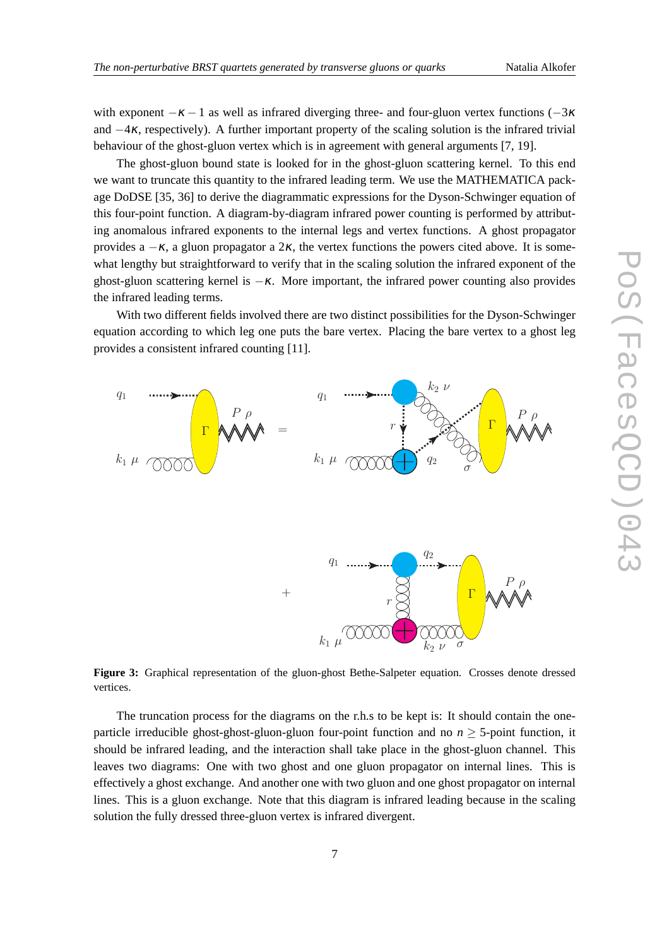with exponent  $-\kappa - 1$  as well as infrared diverging three- and four-gluon vertex functions ( $-3\kappa$ and  $-4\kappa$ , respectively). A further important property of the scaling solution is the infrared trivial behaviour of the ghost-gluon vertex which is in agreement with general arguments [7, 19].

The ghost-gluon bound state is looked for in the ghost-gluon scattering kernel. To this end we want to truncate this quantity to the infrared leading term. We use the MATHEMATICA package DoDSE [35, 36] to derive the diagrammatic expressions for the Dyson-Schwinger equation of this four-point function. A diagram-by-diagram infrared power counting is performed by attributing anomalous infrared exponents to the internal legs and vertex functions. A ghost propagator provides a  $-\kappa$ , a gluon propagator a 2 $\kappa$ , the vertex functions the powers cited above. It is somewhat lengthy but straightforward to verify that in the scaling solution the infrared exponent of the ghost-gluon scattering kernel is  $-\kappa$ . More important, the infrared power counting also provides the infrared leading terms.

With two different fields involved there are two distinct possibilities for the Dyson-Schwinger equation according to which leg one puts the bare vertex. Placing the bare vertex to a ghost leg provides a consistent infrared counting [11].



**Figure 3:** Graphical representation of the gluon-ghost Bethe-Salpeter equation. Crosses denote dressed vertices.

The truncation process for the diagrams on the r.h.s to be kept is: It should contain the oneparticle irreducible ghost-ghost-gluon-gluon four-point function and no  $n > 5$ -point function, it should be infrared leading, and the interaction shall take place in the ghost-gluon channel. This leaves two diagrams: One with two ghost and one gluon propagator on internal lines. This is effectively a ghost exchange. And another one with two gluon and one ghost propagator on internal lines. This is a gluon exchange. Note that this diagram is infrared leading because in the scaling solution the fully dressed three-gluon vertex is infrared divergent.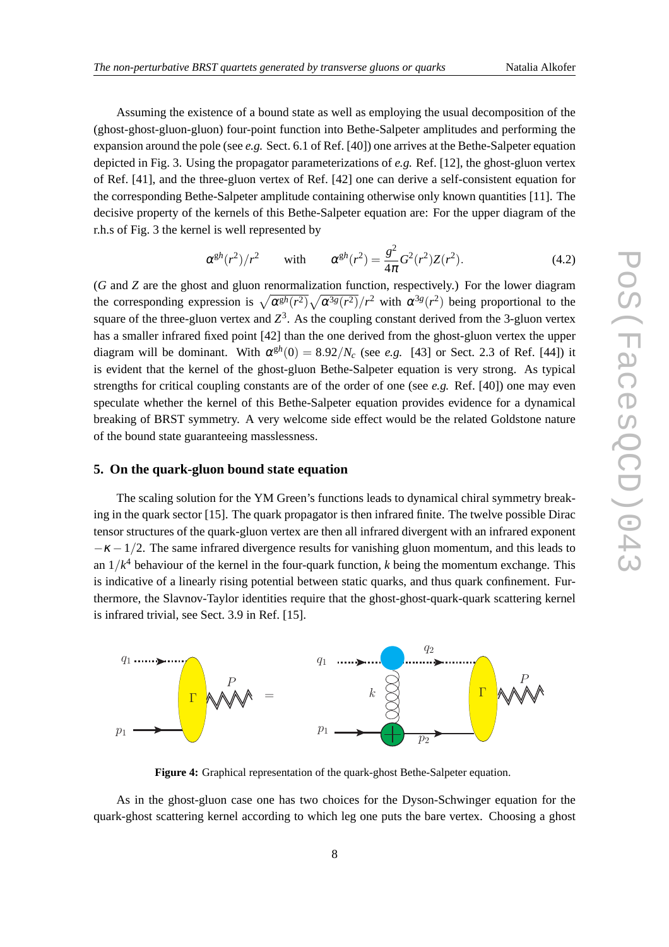Assuming the existence of a bound state as well as employing the usual decomposition of the (ghost-ghost-gluon-gluon) four-point function into Bethe-Salpeter amplitudes and performing the expansion around the pole (see  $e.g.$  Sect. 6.1 of Ref. [40]) one arrives at the Bethe-Salpeter equation depicted in Fig. 3. Using the propagator parameterizations of *e.g.* Ref. [12], the ghost-gluon vertex of Ref. [41], and the three-gluon vertex of Ref. [42] one can derive a self-consistent equation for the corresponding Bethe-Salpeter amplitude containing otherwise only known quantities [11]. The decisive property of the kernels of this Bethe-Salpeter equation are: For the upper diagram of the r.h.s of Fig. 3 the kernel is well represented by

$$
\alpha^{\mathbf{g}h}(r^2)/r^2 \qquad \text{with} \qquad \alpha^{\mathbf{g}h}(r^2) = \frac{g^2}{4\pi}G^2(r^2)Z(r^2). \tag{4.2}
$$

(*G* and *Z* are the ghost and gluon renormalization function, respectively.) For the lower diagram the corresponding expression is  $\sqrt{\alpha^{gh}(r^2)}\sqrt{\alpha^{3g}(r^2)}/r^2$  with  $\alpha^{3g}(r^2)$  being proportional to the square of the three-gluon vertex and  $Z^3$ . As the coupling constant derived from the 3-gluon vertex has a smaller infrared fixed point [42] than the one derived from the ghost-gluon vertex the upper diagram will be dominant. With  $\alpha^{\text{gh}}(0) = 8.92/N_c$  (see *e.g.* [43] or Sect. 2.3 of Ref. [44]) it is evident that the kernel of the ghost-gluon Bethe-Salpeter equation is very strong. As typical strengths for critical coupling constants are of the order of one (see *e.g.* Ref. [40]) one may even speculate whether the kernel of this Bethe-Salpeter equation provides evidence for a dynamical breaking of BRST symmetry. A very welcome side effect would be the related Goldstone nature of the bound state guaranteeing masslessness.

### **5. On the quark-gluon bound state equation**

The scaling solution for the YM Green's functions leads to dynamical chiral symmetry breaking in the quark sector [15]. The quark propagator is then infrared finite. The twelve possible Dirac tensor structures of the quark-gluon vertex are then all infrared divergent with an infrared exponent  $-\kappa - 1/2$ . The same infrared divergence results for vanishing gluon momentum, and this leads to an 1/*k* <sup>4</sup> behaviour of the kernel in the four-quark function, *k* being the momentum exchange. This is indicative of a linearly rising potential between static quarks, and thus quark confinement. Furthermore, the Slavnov-Taylor identities require that the ghost-ghost-quark-quark scattering kernel is infrared trivial, see Sect. 3.9 in Ref. [15].



**Figure 4:** Graphical representation of the quark-ghost Bethe-Salpeter equation.

As in the ghost-gluon case one has two choices for the Dyson-Schwinger equation for the quark-ghost scattering kernel according to which leg one puts the bare vertex. Choosing a ghost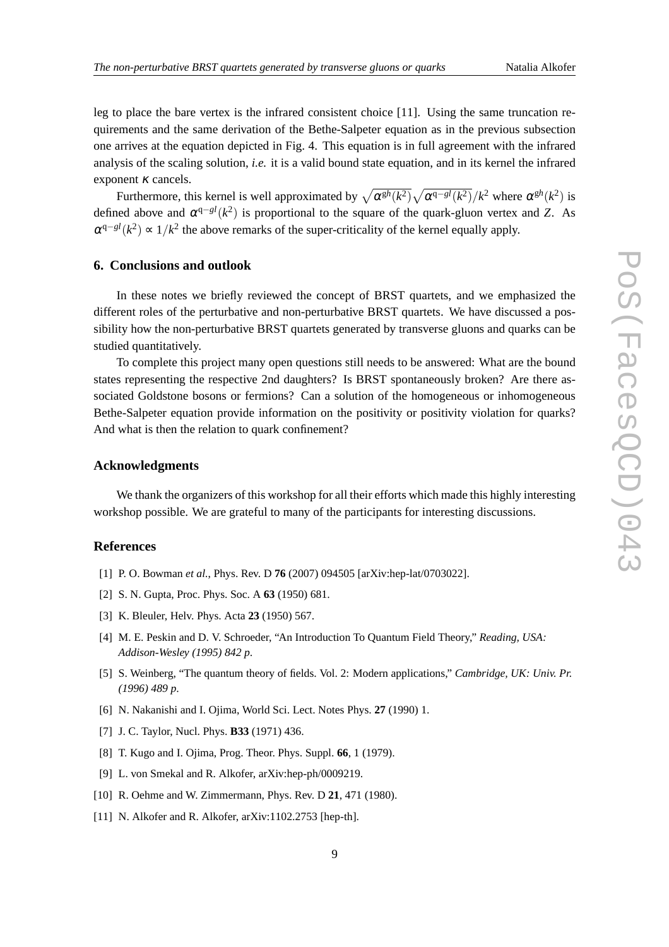leg to place the bare vertex is the infrared consistent choice [11]. Using the same truncation requirements and the same derivation of the Bethe-Salpeter equation as in the previous subsection one arrives at the equation depicted in Fig. 4. This equation is in full agreement with the infrared analysis of the scaling solution, *i.e.* it is a valid bound state equation, and in its kernel the infrared exponent  $\kappa$  cancels.

Furthermore, this kernel is well approximated by  $\sqrt{\alpha^{gh}(k^2)}\sqrt{\alpha^{q-g}^l(k^2)}/k^2$  where  $\alpha^{gh}(k^2)$  is defined above and  $\alpha^{q-gl}(k^2)$  is proportional to the square of the quark-gluon vertex and *Z*. As  $\alpha^{q-gl}(k^2) \approx 1/k^2$  the above remarks of the super-criticality of the kernel equally apply.

# **6. Conclusions and outlook**

In these notes we briefly reviewed the concept of BRST quartets, and we emphasized the different roles of the perturbative and non-perturbative BRST quartets. We have discussed a possibility how the non-perturbative BRST quartets generated by transverse gluons and quarks can be studied quantitatively.

To complete this project many open questions still needs to be answered: What are the bound states representing the respective 2nd daughters? Is BRST spontaneously broken? Are there associated Goldstone bosons or fermions? Can a solution of the homogeneous or inhomogeneous Bethe-Salpeter equation provide information on the positivity or positivity violation for quarks? And what is then the relation to quark confinement?

# **Acknowledgments**

We thank the organizers of this workshop for all their efforts which made this highly interesting workshop possible. We are grateful to many of the participants for interesting discussions.

# **References**

- [1] P. O. Bowman *et al.*, Phys. Rev. D **76** (2007) 094505 [arXiv:hep-lat/0703022].
- [2] S. N. Gupta, Proc. Phys. Soc. A **63** (1950) 681.
- [3] K. Bleuler, Helv. Phys. Acta **23** (1950) 567.
- [4] M. E. Peskin and D. V. Schroeder, "An Introduction To Quantum Field Theory," *Reading, USA: Addison-Wesley (1995) 842 p*.
- [5] S. Weinberg, "The quantum theory of fields. Vol. 2: Modern applications," *Cambridge, UK: Univ. Pr. (1996) 489 p*.
- [6] N. Nakanishi and I. Ojima, World Sci. Lect. Notes Phys. **27** (1990) 1.
- [7] J. C. Taylor, Nucl. Phys. **B33** (1971) 436.
- [8] T. Kugo and I. Ojima, Prog. Theor. Phys. Suppl. **66**, 1 (1979).
- [9] L. von Smekal and R. Alkofer, arXiv:hep-ph/0009219.
- [10] R. Oehme and W. Zimmermann, Phys. Rev. D **21**, 471 (1980).
- [11] N. Alkofer and R. Alkofer, arXiv:1102.2753 [hep-th].